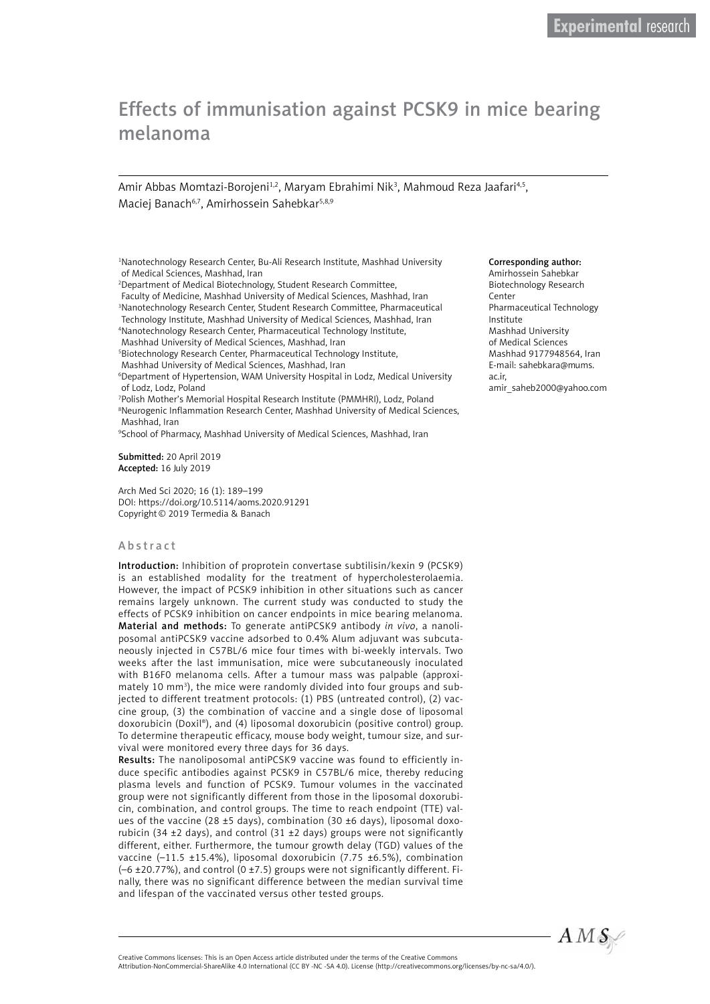# Effects of immunisation against PCSK9 in mice bearing melanoma

Amir Abbas Momtazi-Borojeni<sup>1,2</sup>, Maryam Ebrahimi Nik<sup>3</sup>, Mahmoud Reza Jaafari<sup>4,5</sup>, Maciej Banach<sup>6,7</sup>, Amirhossein Sahebkar<sup>5,8,9</sup>

<sup>1</sup>Nanotechnology Research Center, Bu-Ali Research Institute, Mashhad University of Medical Sciences, Mashhad, Iran

2 Department of Medical Biotechnology, Student Research Committee,

Faculty of Medicine, Mashhad University of Medical Sciences, Mashhad, Iran 3 Nanotechnology Research Center, Student Research Committee, Pharmaceutical Technology Institute, Mashhad University of Medical Sciences, Mashhad, Iran 4 Nanotechnology Research Center, Pharmaceutical Technology Institute, Mashhad University of Medical Sciences, Mashhad, Iran

5 Biotechnology Research Center, Pharmaceutical Technology Institute,

Mashhad University of Medical Sciences, Mashhad, Iran

6 Department of Hypertension, WAM University Hospital in Lodz, Medical University of Lodz, Lodz, Poland

7 Polish Mother's Memorial Hospital Research Institute (PMMHRI), Lodz, Poland <sup>8</sup>Neurogenic Inflammation Research Center, Mashhad University of Medical Sciences, Mashhad, Iran

9 School of Pharmacy, Mashhad University of Medical Sciences, Mashhad, Iran

Submitted: 20 April 2019 Accepted: 16 July 2019

Arch Med Sci 2020; 16 (1): 189–199 DOI: https://doi.org/10.5114/aoms.2020.91291 Copyright© 2019 Termedia & Banach

## Abstract

Introduction: Inhibition of proprotein convertase subtilisin/kexin 9 (PCSK9) is an established modality for the treatment of hypercholesterolaemia. However, the impact of PCSK9 inhibition in other situations such as cancer remains largely unknown. The current study was conducted to study the effects of PCSK9 inhibition on cancer endpoints in mice bearing melanoma. Material and methods: To generate antiPCSK9 antibody *in vivo*, a nanoliposomal antiPCSK9 vaccine adsorbed to 0.4% Alum adjuvant was subcutaneously injected in C57BL/6 mice four times with bi-weekly intervals. Two weeks after the last immunisation, mice were subcutaneously inoculated with B16F0 melanoma cells. After a tumour mass was palpable (approximately 10 mm<sup>3</sup>), the mice were randomly divided into four groups and subjected to different treatment protocols: (1) PBS (untreated control), (2) vaccine group, (3) the combination of vaccine and a single dose of liposomal doxorubicin (Doxil®), and (4) liposomal doxorubicin (positive control) group. To determine therapeutic efficacy, mouse body weight, tumour size, and survival were monitored every three days for 36 days.

Results: The nanoliposomal antiPCSK9 vaccine was found to efficiently induce specific antibodies against PCSK9 in C57BL/6 mice, thereby reducing plasma levels and function of PCSK9. Tumour volumes in the vaccinated group were not significantly different from those in the liposomal doxorubicin, combination, and control groups. The time to reach endpoint (TTE) values of the vaccine (28 ±5 days), combination (30 ±6 days), liposomal doxorubicin (34  $\pm$ 2 days), and control (31  $\pm$ 2 days) groups were not significantly different, either. Furthermore, the tumour growth delay (TGD) values of the vaccine  $(-11.5 \pm 15.4\%)$ , liposomal doxorubicin (7.75 ±6.5%), combination  $(-6 \pm 20.77%)$ , and control  $(0 \pm 7.5)$  groups were not significantly different. Finally, there was no significant difference between the median survival time and lifespan of the vaccinated versus other tested groups.

#### Corresponding author:

Amirhossein Sahebkar Biotechnology Research Center Pharmaceutical Technology Institute Mashhad University of Medical Sciences Mashhad 9177948564, Iran E-mail: [sahebkara@mums.](mailto:sahebkara@mums.ac.ir) [ac.ir](mailto:sahebkara@mums.ac.ir), [amir\\_saheb2000@yahoo.com](mailto:amir_saheb2000@yahoo.com)



Creative Commons licenses: This is an Open Access article distributed under the terms of the Creative Commons

Attribution-NonCommercial-ShareAlike 4.0 International (CC BY -NC -SA 4.0). License (http://creativecommons.org/licenses/by-nc-sa/4.0/).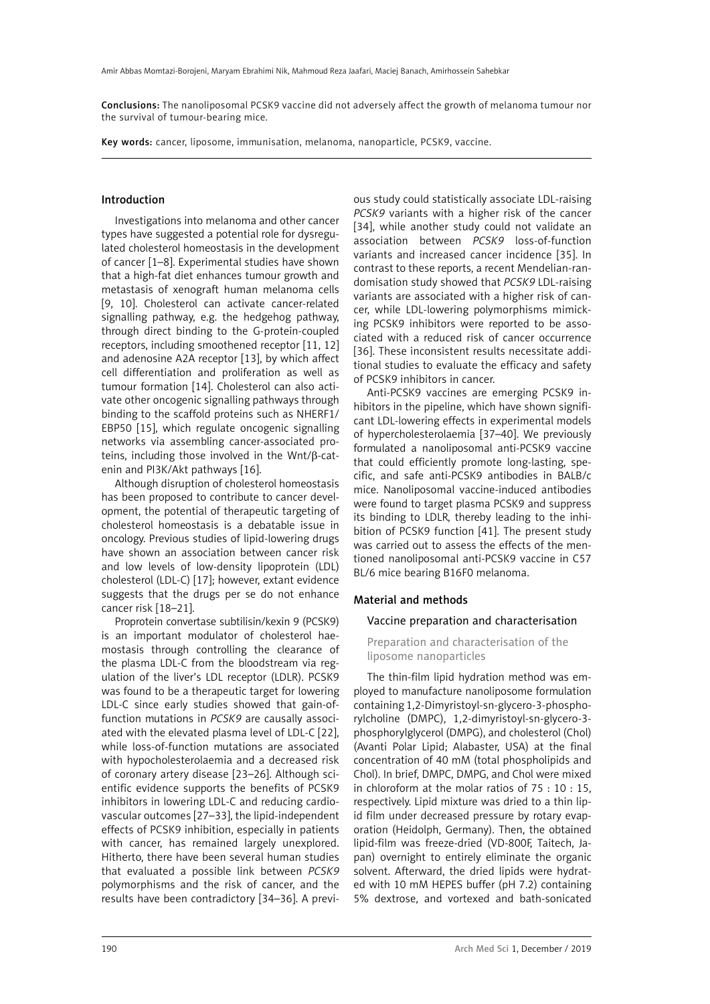Conclusions: The nanoliposomal PCSK9 vaccine did not adversely affect the growth of melanoma tumour nor the survival of tumour-bearing mice.

Key words: cancer, liposome, immunisation, melanoma, nanoparticle, PCSK9, vaccine.

#### Introduction

Investigations into melanoma and other cancer types have suggested a potential role for dysregulated cholesterol homeostasis in the development of cancer [1–8]. Experimental studies have shown that a high-fat diet enhances tumour growth and metastasis of xenograft human melanoma cells [9, 10]. Cholesterol can activate cancer-related signalling pathway, e.g. the hedgehog pathway, through direct binding to the G-protein-coupled receptors, including smoothened receptor [11, 12] and adenosine A2A receptor [13], by which affect cell differentiation and proliferation as well as tumour formation [14]. Cholesterol can also activate other oncogenic signalling pathways through binding to the scaffold proteins such as NHERF1/ EBP50 [15], which regulate oncogenic signalling networks via assembling cancer-associated proteins, including those involved in the Wnt/β-catenin and PI3K/Akt pathways [16].

Although disruption of cholesterol homeostasis has been proposed to contribute to cancer development, the potential of therapeutic targeting of cholesterol homeostasis is a debatable issue in oncology. Previous studies of lipid-lowering drugs have shown an association between cancer risk and low levels of low-density lipoprotein (LDL) cholesterol (LDL-C) [17]; however, extant evidence suggests that the drugs per se do not enhance cancer risk [18–21].

Proprotein convertase subtilisin/kexin 9 (PCSK9) is an important modulator of cholesterol haemostasis through controlling the clearance of the plasma LDL-C from the bloodstream via regulation of the liver's LDL receptor (LDLR). PCSK9 was found to be a therapeutic target for lowering LDL-C since early studies showed that gain-offunction mutations in *PCSK9* are causally associated with the elevated plasma level of LDL-C [22], while loss-of-function mutations are associated with hypocholesterolaemia and a decreased risk of coronary artery disease [23–26]. Although scientific evidence supports the benefits of PCSK9 inhibitors in lowering LDL-C and reducing cardiovascular outcomes [27–33], the lipid-independent effects of PCSK9 inhibition, especially in patients with cancer, has remained largely unexplored. Hitherto, there have been several human studies that evaluated a possible link between *PCSK9* polymorphisms and the risk of cancer, and the results have been contradictory [34–36]. A previ-

ous study could statistically associate LDL-raising *PCSK9* variants with a higher risk of the cancer [34], while another study could not validate an association between *PCSK9* loss-of-function variants and increased cancer incidence [35]. In contrast to these reports, a recent Mendelian-randomisation study showed that *PCSK9* LDL-raising variants are associated with a higher risk of cancer, while LDL-lowering polymorphisms mimicking PCSK9 inhibitors were reported to be associated with a reduced risk of cancer occurrence [36]. These inconsistent results necessitate additional studies to evaluate the efficacy and safety of PCSK9 inhibitors in cancer.

Anti-PCSK9 vaccines are emerging PCSK9 inhibitors in the pipeline, which have shown significant LDL-lowering effects in experimental models of hypercholesterolaemia [37–40]. We previously formulated a nanoliposomal anti-PCSK9 vaccine that could efficiently promote long-lasting, specific, and safe anti-PCSK9 antibodies in BALB/c mice. Nanoliposomal vaccine-induced antibodies were found to target plasma PCSK9 and suppress its binding to LDLR, thereby leading to the inhibition of PCSK9 function [41]. The present study was carried out to assess the effects of the mentioned nanoliposomal anti-PCSK9 vaccine in C57 BL/6 mice bearing B16F0 melanoma.

## Material and methods

#### Vaccine preparation and characterisation

Preparation and characterisation of the liposome nanoparticles

The thin-film lipid hydration method was employed to manufacture nanoliposome formulation containing 1,2-Dimyristoyl-sn-glycero-3-phosphorylcholine (DMPC), 1,2-dimyristoyl-sn-glycero-3 phosphorylglycerol (DMPG), and cholesterol (Chol) (Avanti Polar Lipid; Alabaster, USA) at the final concentration of 40 mM (total phospholipids and Chol). In brief, DMPC, DMPG, and Chol were mixed in chloroform at the molar ratios of 75 : 10 : 15, respectively. Lipid mixture was dried to a thin lipid film under decreased pressure by rotary evaporation (Heidolph, Germany). Then, the obtained lipid-film was freeze-dried (VD-800F, Taitech, Japan) overnight to entirely eliminate the organic solvent. Afterward, the dried lipids were hydrated with 10 mM HEPES buffer (pH 7.2) containing 5% dextrose, and vortexed and bath-sonicated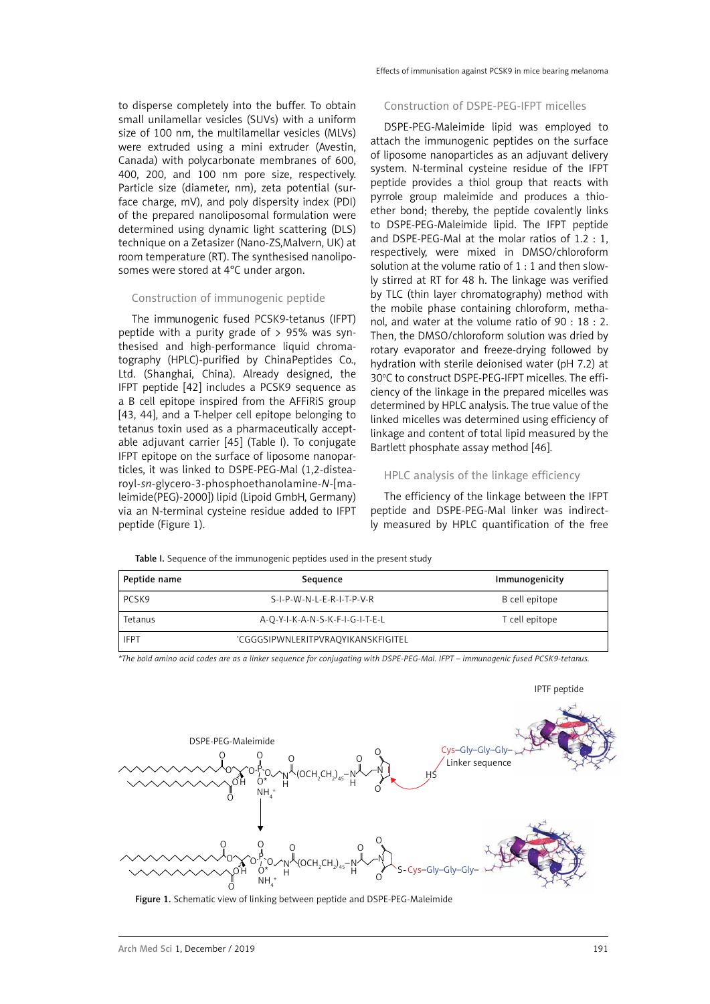to disperse completely into the buffer. To obtain small unilamellar vesicles (SUVs) with a uniform size of 100 nm, the multilamellar vesicles (MLVs) were extruded using a mini extruder (Avestin, Canada) with polycarbonate membranes of 600, 400, 200, and 100 nm pore size, respectively. Particle size (diameter, nm), zeta potential (surface charge, mV), and poly dispersity index (PDI) of the prepared nanoliposomal formulation were determined using dynamic light scattering (DLS) technique on a Zetasizer (Nano-ZS,Malvern, UK) at room temperature (RT). The synthesised nanoliposomes were stored at 4°C under argon.

## Construction of immunogenic peptide

The immunogenic fused PCSK9-tetanus (IFPT) peptide with a purity grade of  $> 95\%$  was synthesised and high-performance liquid chromatography (HPLC)-purified by ChinaPeptides Co., Ltd. (Shanghai, China). Already designed, the IFPT peptide [42] includes a PCSK9 sequence as a B cell epitope inspired from the AFFiRiS group [43, 44], and a T-helper cell epitope belonging to tetanus toxin used as a pharmaceutically acceptable adjuvant carrier [45] (Table I). To conjugate IFPT epitope on the surface of liposome nanoparticles, it was linked to DSPE-PEG-Mal (1,2-distearoyl-*sn*-glycero-3-phosphoethanolamine-*N*-[maleimide(PEG)-2000]) lipid (Lipoid GmbH, Germany) via an N-terminal cysteine residue added to IFPT peptide (Figure 1).

#### Construction of DSPE-PEG-IFPT micelles

DSPE-PEG-Maleimide lipid was employed to attach the immunogenic peptides on the surface of liposome nanoparticles as an adjuvant delivery system. N-terminal cysteine residue of the IFPT peptide provides a thiol group that reacts with pyrrole group maleimide and produces a thioether bond; thereby, the peptide covalently links to DSPE-PEG-Maleimide lipid. The IFPT peptide and DSPE-PEG-Mal at the molar ratios of 1.2 : 1, respectively, were mixed in DMSO/chloroform solution at the volume ratio of 1 : 1 and then slowly stirred at RT for 48 h. The linkage was verified by TLC (thin layer chromatography) method with the mobile phase containing chloroform, methanol, and water at the volume ratio of 90 : 18 : 2. Then, the DMSO/chloroform solution was dried by rotary evaporator and freeze-drying followed by hydration with sterile deionised water (pH 7.2) at 30°C to construct DSPE-PEG-IFPT micelles. The efficiency of the linkage in the prepared micelles was determined by HPLC analysis. The true value of the linked micelles was determined using efficiency of linkage and content of total lipid measured by the Bartlett phosphate assay method [46].

# HPLC analysis of the linkage efficiency

The efficiency of the linkage between the IFPT peptide and DSPE-PEG-Mal linker was indirectly measured by HPLC quantification of the free

Table I. Sequence of the immunogenic peptides used in the present study

| Peptide name | Sequence                           | Immunogenicity |
|--------------|------------------------------------|----------------|
| PCSK9        | S-I-P-W-N-L-E-R-I-T-P-V-R          | B cell epitope |
| Tetanus      | A-O-Y-I-K-A-N-S-K-F-I-G-I-T-E-L    | T cell epitope |
| <b>IFPT</b>  | *CGGGSIPWNLERITPVRAOYIKANSKFIGITEL |                |

*\*The bold amino acid codes are as a linker sequence for conjugating with DSPE-PEG-Mal. IFPT – immunogenic fused PCSK9-tetanus.*



Figure 1. Schematic view of linking between peptide and DSPE-PEG-Maleimide

IPTF peptide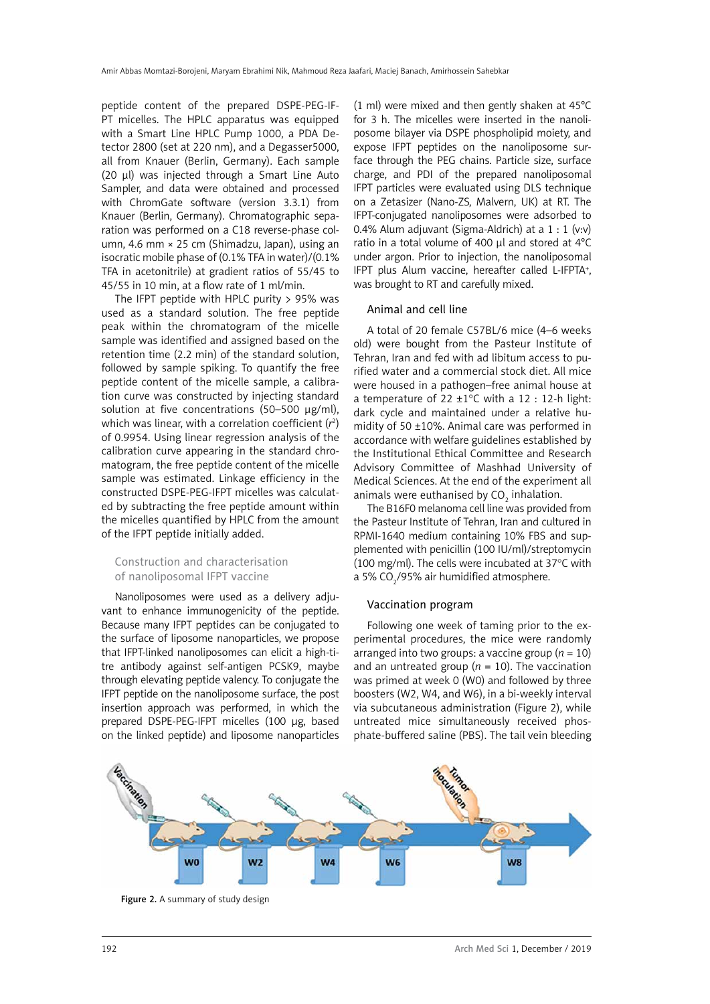peptide content of the prepared DSPE-PEG-IF-PT micelles. The HPLC apparatus was equipped with a Smart Line HPLC Pump 1000, a PDA Detector 2800 (set at 220 nm), and a Degasser5000, all from Knauer (Berlin, Germany). Each sample (20 µl) was injected through a Smart Line Auto Sampler, and data were obtained and processed with ChromGate software (version 3.3.1) from Knauer (Berlin, Germany). Chromatographic separation was performed on a C18 reverse-phase column, 4.6 mm × 25 cm (Shimadzu, Japan), using an isocratic mobile phase of (0.1% TFA in water)/(0.1% TFA in acetonitrile) at gradient ratios of 55/45 to 45/55 in 10 min, at a flow rate of 1 ml/min.

The IFPT peptide with HPLC purity  $> 95\%$  was used as a standard solution. The free peptide peak within the chromatogram of the micelle sample was identified and assigned based on the retention time (2.2 min) of the standard solution, followed by sample spiking. To quantify the free peptide content of the micelle sample, a calibration curve was constructed by injecting standard solution at five concentrations (50-500 µg/ml), which was linear, with a correlation coefficient (*r*<sup>2</sup> ) of 0.9954. Using linear regression analysis of the calibration curve appearing in the standard chromatogram, the free peptide content of the micelle sample was estimated. Linkage efficiency in the constructed DSPE-PEG-IFPT micelles was calculated by subtracting the free peptide amount within the micelles quantified by HPLC from the amount of the IFPT peptide initially added.

# Construction and characterisation of nanoliposomal IFPT vaccine

Nanoliposomes were used as a delivery adjuvant to enhance immunogenicity of the peptide. Because many IFPT peptides can be conjugated to the surface of liposome nanoparticles, we propose that IFPT-linked nanoliposomes can elicit a high-titre antibody against self-antigen PCSK9, maybe through elevating peptide valency. To conjugate the IFPT peptide on the nanoliposome surface, the post insertion approach was performed, in which the prepared DSPE-PEG-IFPT micelles (100 µg, based on the linked peptide) and liposome nanoparticles

(1 ml) were mixed and then gently shaken at 45°C for 3 h. The micelles were inserted in the nanoliposome bilayer via DSPE phospholipid moiety, and expose IFPT peptides on the nanoliposome surface through the PEG chains. Particle size, surface charge, and PDI of the prepared nanoliposomal IFPT particles were evaluated using DLS technique on a Zetasizer (Nano-ZS, Malvern, UK) at RT. The IFPT-conjugated nanoliposomes were adsorbed to 0.4% Alum adjuvant (Sigma-Aldrich) at a 1 : 1 (v:v) ratio in a total volume of 400 µl and stored at 4°C under argon. Prior to injection, the nanoliposomal IFPT plus Alum vaccine, hereafter called L-IFPTA<sup>+</sup>, was brought to RT and carefully mixed.

# Animal and cell line

A total of 20 female C57BL/6 mice (4–6 weeks old) were bought from the Pasteur Institute of Tehran, Iran and fed with ad libitum access to purified water and a commercial stock diet. All mice were housed in a pathogen–free animal house at a temperature of 22  $\pm$ 1°C with a 12 : 12-h light: dark cycle and maintained under a relative humidity of 50 ±10%. Animal care was performed in accordance with welfare guidelines established by the Institutional Ethical Committee and Research Advisory Committee of Mashhad University of Medical Sciences. At the end of the experiment all animals were euthanised by CO $_{\textrm{\tiny{2}}}$  inhalation.

The B16F0 melanoma cell line was provided from the Pasteur Institute of Tehran, Iran and cultured in RPMI-1640 medium containing 10% FBS and supplemented with penicillin (100 IU/ml)/streptomycin (100 mg/ml). The cells were incubated at 37°C with a 5% CO $_2$ /95% air humidified atmosphere.

# Vaccination program

Following one week of taming prior to the experimental procedures, the mice were randomly arranged into two groups: a vaccine group  $(n = 10)$ and an untreated group ( $n = 10$ ). The vaccination was primed at week 0 (W0) and followed by three boosters (W2, W4, and W6), in a bi-weekly interval via subcutaneous administration (Figure 2), while untreated mice simultaneously received phosphate*-*buffered saline (PBS). The tail vein bleeding



Figure 2. A summary of study design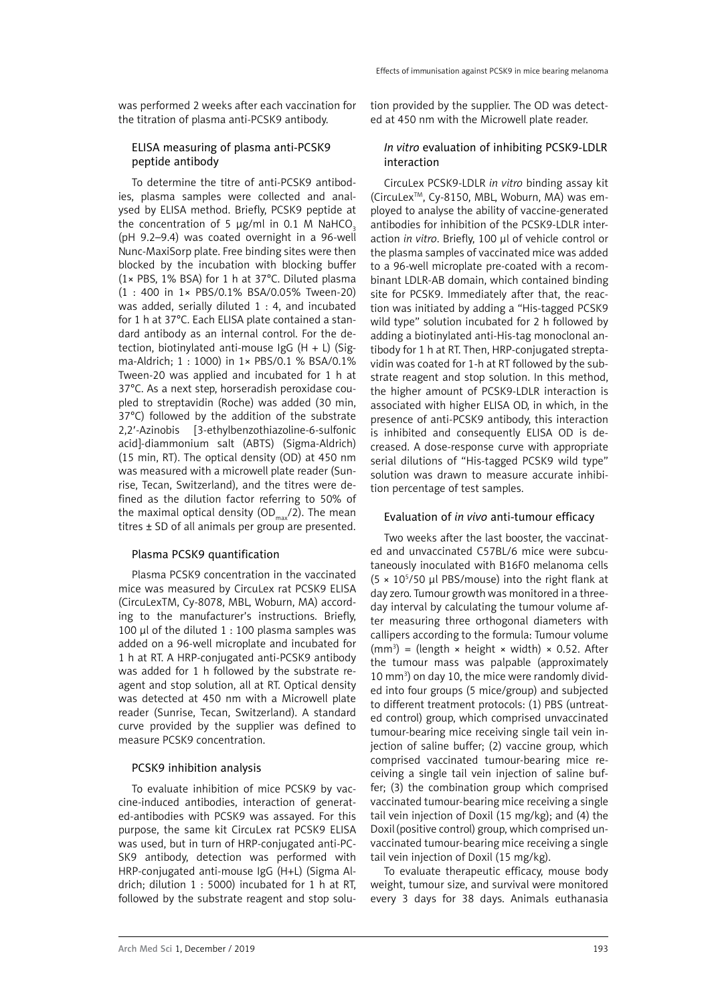was performed 2 weeks after each vaccination for the titration of plasma anti-PCSK9 antibody.

# ELISA measuring of plasma anti-PCSK9 peptide antibody

To determine the titre of anti-PCSK9 antibodies, plasma samples were collected and analysed by ELISA method. Briefly, PCSK9 peptide at the concentration of 5  $\mu$ g/ml in 0.1 M NaHCO<sub>3</sub> (pH 9.2–9.4) was coated overnight in a 96-well Nunc-MaxiSorp plate. Free binding sites were then blocked by the incubation with blocking buffer (1× PBS, 1% BSA) for 1 h at 37°C. Diluted plasma (1 : 400 in 1× PBS/0.1% BSA/0.05% Tween-20) was added, serially diluted 1 : 4, and incubated for 1 h at 37°C. Each ELISA plate contained a standard antibody as an internal control. For the detection, biotinylated anti-mouse IgG  $(H + L)$  (Sigma-Aldrich; 1 : 1000) in 1× PBS/0.1 % BSA/0.1% Tween-20 was applied and incubated for 1 h at 37°C. As a next step, horseradish peroxidase coupled to streptavidin (Roche) was added (30 min, 37°C) followed by the addition of the substrate 2,2′-Azinobis [3-ethylbenzothiazoline-6-sulfonic acid]-diammonium salt (ABTS) (Sigma-Aldrich) (15 min, RT). The optical density (OD) at 450 nm was measured with a microwell plate reader (Sunrise, Tecan, Switzerland), and the titres were defined as the dilution factor referring to 50% of the maximal optical density (OD<sub>max</sub>/2). The mean titres  $\pm$  SD of all animals per group are presented.

## Plasma PCSK9 quantification

Plasma PCSK9 concentration in the vaccinated mice was measured by CircuLex rat PCSK9 ELISA (CircuLexTM, Cy-8078, MBL, Woburn, MA) according to the manufacturer's instructions. Briefly, 100  $\mu$ l of the diluted 1 : 100 plasma samples was added on a 96-well microplate and incubated for 1 h at RT. A HRP-conjugated anti-PCSK9 antibody was added for 1 h followed by the substrate reagent and stop solution, all at RT. Optical density was detected at 450 nm with a Microwell plate reader (Sunrise, Tecan, Switzerland). A standard curve provided by the supplier was defined to measure PCSK9 concentration.

## PCSK9 inhibition analysis

To evaluate inhibition of mice PCSK9 by vaccine-induced antibodies, interaction of generated-antibodies with PCSK9 was assayed. For this purpose, the same kit CircuLex rat PCSK9 ELISA was used, but in turn of HRP-conjugated anti-PC-SK9 antibody, detection was performed with HRP-conjugated anti-mouse IgG (H+L) (Sigma Aldrich; dilution 1 : 5000) incubated for 1 h at RT, followed by the substrate reagent and stop solution provided by the supplier. The OD was detected at 450 nm with the Microwell plate reader.

## *In vitro* evaluation of inhibiting PCSK9-LDLR interaction

CircuLex PCSK9-LDLR *in vitro* binding assay kit (CircuLexTM, Cy-8150, MBL, Woburn, MA) was employed to analyse the ability of vaccine-generated antibodies for inhibition of the PCSK9-LDLR interaction *in vitro*. Briefly, 100 µl of vehicle control or the plasma samples of vaccinated mice was added to a 96-well microplate pre-coated with a recombinant LDLR-AB domain, which contained binding site for PCSK9. Immediately after that, the reaction was initiated by adding a "His-tagged PCSK9 wild type" solution incubated for 2 h followed by adding a biotinylated anti-His-tag monoclonal antibody for 1 h at RT. Then, HRP-conjugated streptavidin was coated for 1-h at RT followed by the substrate reagent and stop solution. In this method, the higher amount of PCSK9-LDLR interaction is associated with higher ELISA OD, in which, in the presence of anti-PCSK9 antibody, this interaction is inhibited and consequently ELISA OD is decreased. A dose-response curve with appropriate serial dilutions of "His-tagged PCSK9 wild type" solution was drawn to measure accurate inhibition percentage of test samples.

## Evaluation of *in vivo* anti-tumour efficacy

Two weeks after the last booster, the vaccinated and unvaccinated C57BL/6 mice were subcutaneously inoculated with B16F0 melanoma cells  $(5 \times 10^5/50 \mu l$  PBS/mouse) into the right flank at day zero. Tumour growth was monitored in a threeday interval by calculating the tumour volume after measuring three orthogonal diameters with callipers according to the formula: Tumour volume  $(mm<sup>3</sup>) = (length × height × width) × 0.52. After$ the tumour mass was palpable (approximately 10 mm3 ) on day 10, the mice were randomly divided into four groups (5 mice/group) and subjected to different treatment protocols: (1) PBS (untreated control) group, which comprised unvaccinated tumour-bearing mice receiving single tail vein injection of saline buffer; (2) vaccine group, which comprised vaccinated tumour-bearing mice receiving a single tail vein injection of saline buffer; (3) the combination group which comprised vaccinated tumour-bearing mice receiving a single tail vein injection of Doxil (15 mg/kg); and (4) the Doxil(positive control) group, which comprised unvaccinated tumour-bearing mice receiving a single tail vein injection of Doxil (15 mg/kg).

To evaluate therapeutic efficacy, mouse body weight, tumour size, and survival were monitored every 3 days for 38 days. Animals euthanasia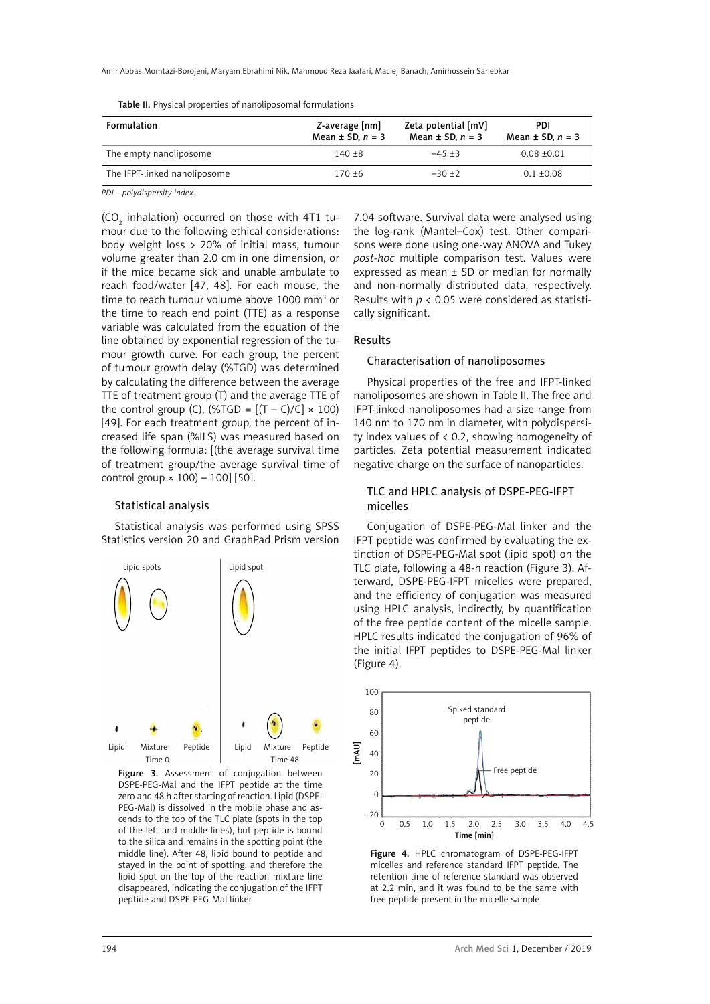| Formulation                  | Z-average [nm]<br>Mean $\pm$ SD, $n = 3$ | Zeta potential [mV]<br>Mean $\pm$ SD, $n = 3$ | PDI<br>Mean $\pm$ SD, $n = 3$ |
|------------------------------|------------------------------------------|-----------------------------------------------|-------------------------------|
| The empty nanoliposome       | $140 + 8$                                | $-45+3$                                       | $0.08 + 0.01$                 |
| The IFPT-linked nanoliposome | $170 + 6$                                | $-30+2$                                       | $0.1 \pm 0.08$                |

*PDI – polydispersity index.*

(CO<sub>2</sub> inhalation) occurred on those with 4T1 tumour due to the following ethical considerations: body weight loss > 20% of initial mass, tumour volume greater than 2.0 cm in one dimension, or if the mice became sick and unable ambulate to reach food/water [47, 48]. For each mouse, the time to reach tumour volume above 1000 mm<sup>3</sup> or the time to reach end point (TTE) as a response variable was calculated from the equation of the line obtained by exponential regression of the tumour growth curve. For each group, the percent of tumour growth delay (%TGD) was determined by calculating the difference between the average TTE of treatment group (T) and the average TTE of the control group (C), (%TGD =  $[(T - C)/C] \times 100$ ) [49]. For each treatment group, the percent of increased life span (%ILS) was measured based on the following formula: [(the average survival time of treatment group/the average survival time of control group  $\times$  100) – 100] [50].

## Statistical analysis

Statistical analysis was performed using SPSS Statistics version 20 and GraphPad Prism version



Figure 3. Assessment of conjugation between DSPE-PEG-Mal and the IFPT peptide at the time zero and 48 h after starting of reaction. Lipid (DSPE-PEG-Mal) is dissolved in the mobile phase and ascends to the top of the TLC plate (spots in the top of the left and middle lines), but peptide is bound to the silica and remains in the spotting point (the middle line). After 48, lipid bound to peptide and stayed in the point of spotting, and therefore the lipid spot on the top of the reaction mixture line disappeared, indicating the conjugation of the IFPT peptide and DSPE-PEG-Mal linker

7.04 software. Survival data were analysed using the log-rank (Mantel–Cox) test. Other comparisons were done using one-way ANOVA and Tukey *post-hoc* multiple comparison test. Values were expressed as mean ± SD or median for normally and non-normally distributed data, respectively. Results with *p* < 0.05 were considered as statistically significant.

#### Results

#### Characterisation of nanoliposomes

Physical properties of the free and IFPT-linked nanoliposomes are shown in Table II. The free and IFPT-linked nanoliposomes had a size range from 140 nm to 170 nm in diameter, with polydispersity index values of < 0.2, showing homogeneity of particles. Zeta potential measurement indicated negative charge on the surface of nanoparticles.

# TLC and HPLC analysis of DSPE-PEG-IFPT micelles

Conjugation of DSPE-PEG-Mal linker and the IFPT peptide was confirmed by evaluating the extinction of DSPE-PEG-Mal spot (lipid spot) on the TLC plate, following a 48-h reaction (Figure 3). Afterward, DSPE-PEG-IFPT micelles were prepared, and the efficiency of conjugation was measured using HPLC analysis, indirectly, by quantification of the free peptide content of the micelle sample. HPLC results indicated the conjugation of 96% of the initial IFPT peptides to DSPE-PEG-Mal linker (Figure 4).



Figure 4. HPLC chromatogram of DSPE-PEG-IFPT micelles and reference standard IFPT peptide. The retention time of reference standard was observed at 2.2 min, and it was found to be the same with free peptide present in the micelle sample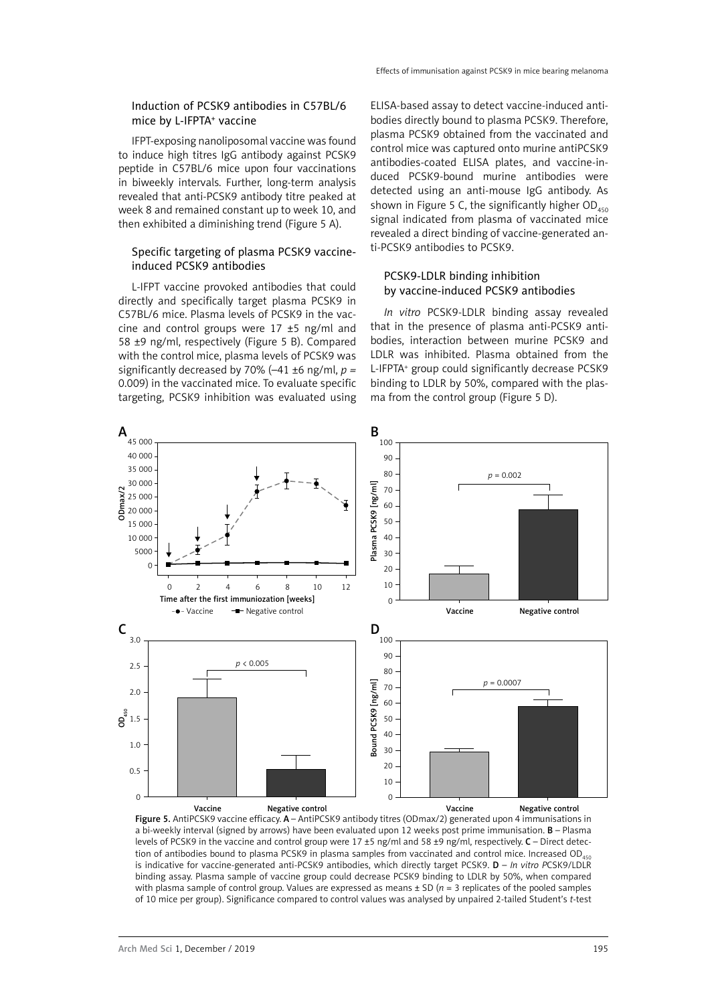# Induction of PCSK9 antibodies in C57BL/6 mice by L-IFPTA<sup>+</sup> vaccine

IFPT-exposing nanoliposomal vaccine was found to induce high titres IgG antibody against PCSK9 peptide in C57BL/6 mice upon four vaccinations in biweekly intervals. Further, long-term analysis revealed that anti-PCSK9 antibody titre peaked at week 8 and remained constant up to week 10, and then exhibited a diminishing trend (Figure 5 A).

# Specific targeting of plasma PCSK9 vaccineinduced PCSK9 antibodies

L-IFPT vaccine provoked antibodies that could directly and specifically target plasma PCSK9 in C57BL/6 mice. Plasma levels of PCSK9 in the vaccine and control groups were  $17 \pm 5$  ng/ml and 58 ±9 ng/ml, respectively (Figure 5 B). Compared with the control mice, plasma levels of PCSK9 was significantly decreased by 70% (–41 ±6 ng/ml, *p =*  0.009) in the vaccinated mice. To evaluate specific targeting, PCSK9 inhibition was evaluated using

ELISA-based assay to detect vaccine-induced antibodies directly bound to plasma PCSK9. Therefore, plasma PCSK9 obtained from the vaccinated and control mice was captured onto murine antiPCSK9 antibodies-coated ELISA plates, and vaccine-induced PCSK9-bound murine antibodies were detected using an anti-mouse IgG antibody. As shown in Figure 5 C, the significantly higher  $OD_{450}$ signal indicated from plasma of vaccinated mice revealed a direct binding of vaccine-generated anti-PCSK9 antibodies to PCSK9.

# PCSK9-LDLR binding inhibition by vaccine-induced PCSK9 antibodies

*In vitro* PCSK9-LDLR binding assay revealed that in the presence of plasma anti-PCSK9 antibodies, interaction between murine PCSK9 and LDLR was inhibited. Plasma obtained from the L-IFPTA+ group could significantly decrease PCSK9 binding to LDLR by 50%, compared with the plasma from the control group (Figure 5 D).



Figure 5. AntiPCSK9 vaccine efficacy. A - AntiPCSK9 antibody titres (ODmax/2) generated upon 4 immunisations in a bi-weekly interval (signed by arrows) have been evaluated upon 12 weeks post prime immunisation. B – Plasma levels of PCSK9 in the vaccine and control group were 17 ±5 ng/ml and 58 ±9 ng/ml, respectively. C – Direct detection of antibodies bound to plasma PCSK9 in plasma samples from vaccinated and control mice. Increased OD<sub>450</sub> is indicative for vaccine-generated anti-PCSK9 antibodies, which directly target PCSK9. D – *In vitro P*CSK9/LDLR binding assay. Plasma sample of vaccine group could decrease PCSK9 binding to LDLR by 50%, when compared with plasma sample of control group. Values are expressed as means ± SD (*n* = 3 replicates of the pooled samples of 10 mice per group). Significance compared to control values was analysed by unpaired 2-tailed Student's *t*-test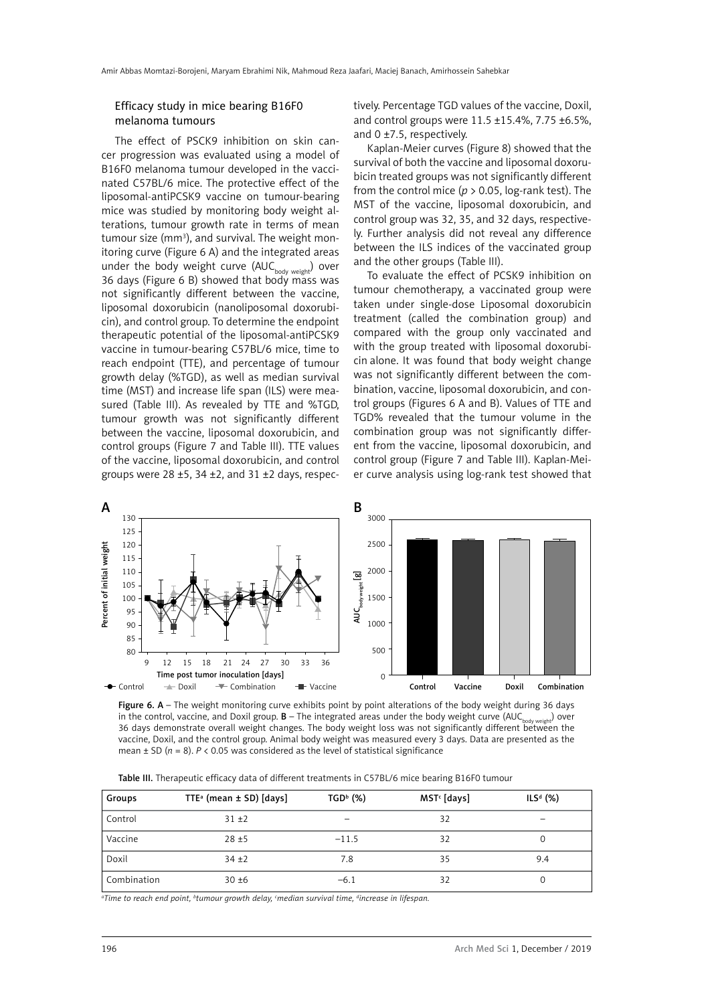## Efficacy study in mice bearing B16F0 melanoma tumours

The effect of PSCK9 inhibition on skin cancer progression was evaluated using a model of B16F0 melanoma tumour developed in the vaccinated C57BL/6 mice. The protective effect of the liposomal-antiPCSK9 vaccine on tumour-bearing mice was studied by monitoring body weight alterations, tumour growth rate in terms of mean tumour size (mm<sup>3</sup>), and survival. The weight monitoring curve (Figure 6 A) and the integrated areas under the body weight curve  $(AUC_{body\ weight})$  over 36 days (Figure 6 B) showed that body mass was not significantly different between the vaccine, liposomal doxorubicin (nanoliposomal doxorubicin), and control group. To determine the endpoint therapeutic potential of the liposomal-antiPCSK9 vaccine in tumour-bearing C57BL/6 mice, time to reach endpoint (TTE), and percentage of tumour growth delay (%TGD), as well as median survival time (MST) and increase life span (ILS) were measured (Table III). As revealed by TTE and %TGD, tumour growth was not significantly different between the vaccine, liposomal doxorubicin, and control groups (Figure 7 and Table III). TTE values of the vaccine, liposomal doxorubicin, and control groups were 28  $\pm$ 5, 34  $\pm$ 2, and 31  $\pm$ 2 days, respectively. Percentage TGD values of the vaccine, Doxil, and control groups were 11.5 ±15.4%, 7.75 ±6.5%, and 0 ±7.5, respectively.

Kaplan-Meier curves (Figure 8) showed that the survival of both the vaccine and liposomal doxorubicin treated groups was not significantly different from the control mice (*p* > 0.05, log-rank test). The MST of the vaccine, liposomal doxorubicin, and control group was 32, 35, and 32 days, respectively. Further analysis did not reveal any difference between the ILS indices of the vaccinated group and the other groups (Table III).

To evaluate the effect of PCSK9 inhibition on tumour chemotherapy, a vaccinated group were taken under single-dose Liposomal doxorubicin treatment (called the combination group) and compared with the group only vaccinated and with the group treated with liposomal doxorubicin alone. It was found that body weight change was not significantly different between the combination, vaccine, liposomal doxorubicin, and control groups (Figures 6 A and B). Values of TTE and TGD% revealed that the tumour volume in the combination group was not significantly different from the vaccine, liposomal doxorubicin, and control group (Figure 7 and Table III). Kaplan-Meier curve analysis using log-rank test showed that



Figure 6.  $A$  – The weight monitoring curve exhibits point by point alterations of the body weight during 36 days in the control, vaccine, and Doxil group.  $B$  – The integrated areas under the body weight curve (AUC<sub>body weight</sub>) over 36 days demonstrate overall weight changes. The body weight loss was not significantly different between the vaccine, Doxil, and the control group. Animal body weight was measured every 3 days. Data are presented as the mean  $\pm$  SD ( $n = 8$ ).  $P \lt 0.05$  was considered as the level of statistical significance

|  |  | Table III. Therapeutic efficacy data of different treatments in C57BL/6 mice bearing B16F0 tumour |
|--|--|---------------------------------------------------------------------------------------------------|
|--|--|---------------------------------------------------------------------------------------------------|

| Groups      | TTE <sup>a</sup> (mean $\pm$ SD) [days] | $TGD^b$ (%) | $MSTc$ [days] | $ILSd$ (%) |
|-------------|-----------------------------------------|-------------|---------------|------------|
| Control     | $31 + 2$                                | -           | 32            | -          |
| Vaccine     | $28 + 5$                                | $-11.5$     | 32            |            |
| Doxil       | $34 + 2$                                | 7.8         | 35            | 9.4        |
| Combination | $30 + 6$                                | $-6.1$      | 32            |            |

*a Time to reach end point, b tumour growth delay, c median survival time, d increase in lifespan.*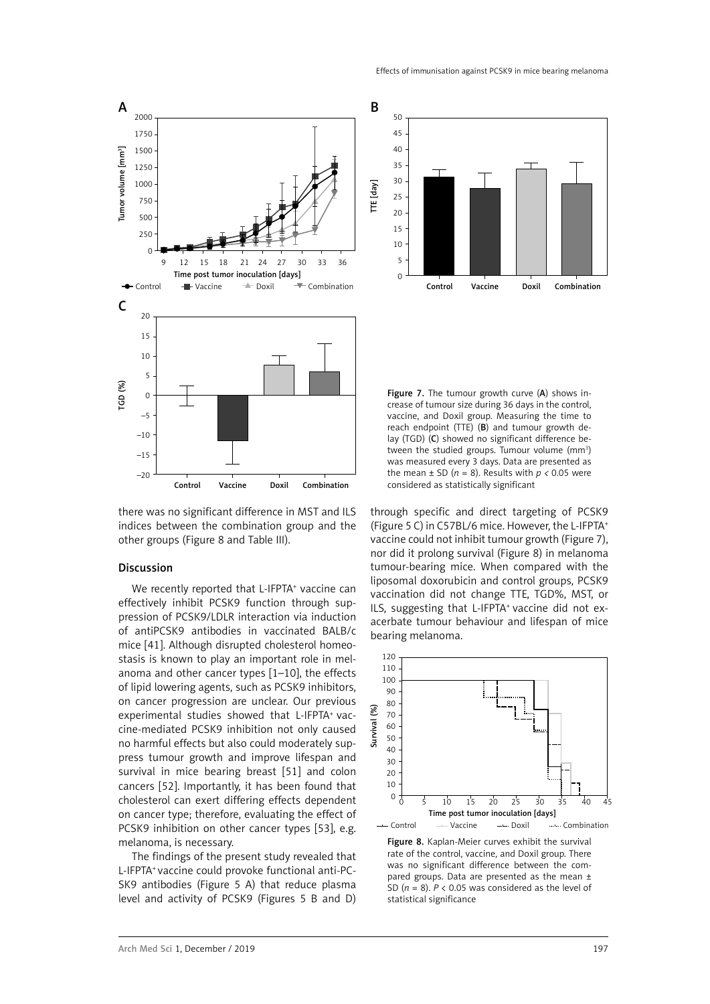

there was no significant difference in MST and ILS indices between the combination group and the other groups (Figure 8 and Table III).

## Discussion

We recently reported that L-IFPTA<sup>+</sup> vaccine can effectively inhibit PCSK9 function through suppression of PCSK9/LDLR interaction via induction of antiPCSK9 antibodies in vaccinated BALB/c mice [41]. Although disrupted cholesterol homeostasis is known to play an important role in melanoma and other cancer types [1–10], the effects of lipid lowering agents, such as PCSK9 inhibitors, on cancer progression are unclear. Our previous experimental studies showed that L-IFPTA+ vaccine-mediated PCSK9 inhibition not only caused no harmful effects but also could moderately suppress tumour growth and improve lifespan and survival in mice bearing breast [51] and colon cancers [52]. Importantly, it has been found that cholesterol can exert differing effects dependent on cancer type; therefore, evaluating the effect of PCSK9 inhibition on other cancer types [53], e.g. melanoma, is necessary.

The findings of the present study revealed that L-IFPTA+ vaccine could provoke functional anti-PC-SK9 antibodies (Figure 5 A) that reduce plasma level and activity of PCSK9 (Figures 5 B and D)



Figure 7. The tumour growth curve (A) shows increase of tumour size during 36 days in the control, vaccine, and Doxil group. Measuring the time to reach endpoint (TTE) (B) and tumour growth delay (TGD) (C) showed no significant difference between the studied groups. Tumour volume (mm<sup>3</sup>) was measured every 3 days. Data are presented as the mean  $\pm$  SD ( $n = 8$ ). Results with  $p < 0.05$  were considered as statistically significant

through specific and direct targeting of PCSK9 (Figure 5 C) in C57BL/6 mice. However, the L-IFPTA+ vaccine could not inhibit tumour growth (Figure 7), nor did it prolong survival (Figure 8) in melanoma tumour-bearing mice. When compared with the liposomal doxorubicin and control groups, PCSK9 vaccination did not change TTE, TGD%, MST, or ILS, suggesting that L-IFPTA<sup>+</sup> vaccine did not exacerbate tumour behaviour and lifespan of mice bearing melanoma.



Figure 8. Kaplan-Meier curves exhibit the survival rate of the control, vaccine, and Doxil group. There was no significant difference between the compared groups. Data are presented as the mean  $\pm$ SD (*n* = 8). *P* < 0.05 was considered as the level of statistical significance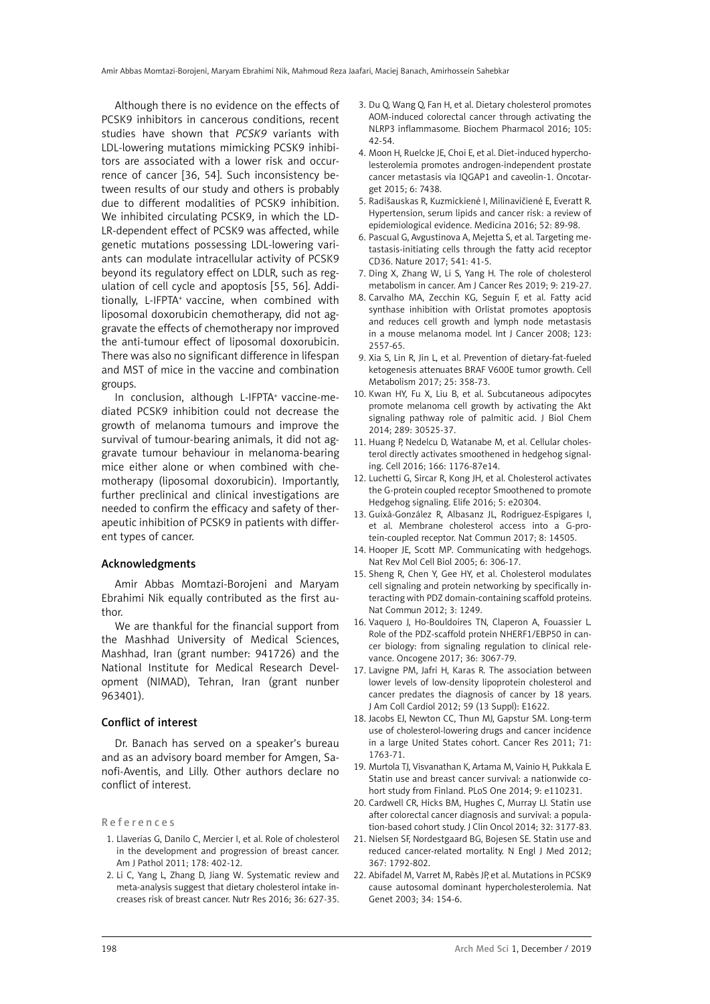Although there is no evidence on the effects of PCSK9 inhibitors in cancerous conditions, recent studies have shown that *PCSK9* variants with LDL-lowering mutations mimicking PCSK9 inhibitors are associated with a lower risk and occurrence of cancer [36, 54]. Such inconsistency between results of our study and others is probably due to different modalities of PCSK9 inhibition. We inhibited circulating PCSK9, in which the LD-LR-dependent effect of PCSK9 was affected, while genetic mutations possessing LDL-lowering variants can modulate intracellular activity of PCSK9 beyond its regulatory effect on LDLR, such as regulation of cell cycle and apoptosis [55, 56]. Additionally, L-IFPTA<sup>+</sup> vaccine, when combined with liposomal doxorubicin chemotherapy, did not aggravate the effects of chemotherapy nor improved the anti-tumour effect of liposomal doxorubicin. There was also no significant difference in lifespan and MST of mice in the vaccine and combination groups.

In conclusion, although L-IFPTA+ vaccine-mediated PCSK9 inhibition could not decrease the growth of melanoma tumours and improve the survival of tumour-bearing animals, it did not aggravate tumour behaviour in melanoma-bearing mice either alone or when combined with chemotherapy (liposomal doxorubicin). Importantly, further preclinical and clinical investigations are needed to confirm the efficacy and safety of therapeutic inhibition of PCSK9 in patients with different types of cancer.

#### Acknowledgments

Amir Abbas Momtazi-Borojeni and Maryam Ebrahimi Nik equally contributed as the first author.

We are thankful for the financial support from the Mashhad University of Medical Sciences, Mashhad, Iran (grant number: 941726) and the National Institute for Medical Research Development (NIMAD), Tehran, Iran (grant nunber 963401).

## Conflict of interest

Dr. Banach has served on a speaker's bureau and as an advisory board member for Amgen, Sanofi-Aventis, and Lilly. Other authors declare no conflict of interest.

References

- 1. Llaverias G, Danilo C, Mercier I, et al. Role of cholesterol in the development and progression of breast cancer. Am J Pathol 2011; 178: 402-12.
- 2. Li C, Yang L, Zhang D, Jiang W. Systematic review and meta-analysis suggest that dietary cholesterol intake increases risk of breast cancer. Nutr Res 2016; 36: 627-35.
- 3. Du Q, Wang Q, Fan H, et al. Dietary cholesterol promotes AOM-induced colorectal cancer through activating the NLRP3 inflammasome. Biochem Pharmacol 2016; 105: 42-54.
- 4. Moon H, Ruelcke JE, Choi E, et al. Diet-induced hypercholesterolemia promotes androgen-independent prostate cancer metastasis via IQGAP1 and caveolin-1. Oncotarget 2015; 6: 7438.
- 5. Radišauskas R, Kuzmickienė I, Milinavičienė E, Everatt R. Hypertension, serum lipids and cancer risk: a review of epidemiological evidence. Medicina 2016; 52: 89-98.
- 6. Pascual G, Avgustinova A, Mejetta S, et al. Targeting metastasis-initiating cells through the fatty acid receptor CD36. Nature 2017; 541: 41-5.
- 7. Ding X, Zhang W, Li S, Yang H. The role of cholesterol metabolism in cancer. Am J Cancer Res 2019; 9: 219-27.
- 8. Carvalho MA, Zecchin KG, Seguin F, et al. Fatty acid synthase inhibition with Orlistat promotes apoptosis and reduces cell growth and lymph node metastasis in a mouse melanoma model. Int J Cancer 2008; 123: 2557-65.
- 9. Xia S, Lin R, Jin L, et al. Prevention of dietary-fat-fueled ketogenesis attenuates BRAF V600E tumor growth. Cell Metabolism 2017; 25: 358-73.
- 10. Kwan HY, Fu X, Liu B, et al. Subcutaneous adipocytes promote melanoma cell growth by activating the Akt signaling pathway role of palmitic acid. J Biol Chem 2014; 289: 30525-37.
- 11. Huang P, Nedelcu D, Watanabe M, et al. Cellular cholesterol directly activates smoothened in hedgehog signaling. Cell 2016; 166: 1176-87e14.
- 12. Luchetti G, Sircar R, Kong JH, et al. Cholesterol activates the G-protein coupled receptor Smoothened to promote Hedgehog signaling. Elife 2016; 5: e20304.
- 13. Guixà-González R, Albasanz JL, Rodriguez-Espigares I, et al. Membrane cholesterol access into a G-protein-coupled receptor. Nat Commun 2017; 8: 14505.
- 14. Hooper JE, Scott MP. Communicating with hedgehogs. Nat Rev Mol Cell Biol 2005; 6: 306-17.
- 15. Sheng R, Chen Y, Gee HY, et al. Cholesterol modulates cell signaling and protein networking by specifically interacting with PDZ domain-containing scaffold proteins. Nat Commun 2012; 3: 1249.
- 16. Vaquero J, Ho-Bouldoires TN, Claperon A, Fouassier L. Role of the PDZ-scaffold protein NHERF1/EBP50 in cancer biology: from signaling regulation to clinical relevance. Oncogene 2017; 36: 3067-79.
- 17. Lavigne PM, Jafri H, Karas R. The association between lower levels of low-density lipoprotein cholesterol and cancer predates the diagnosis of cancer by 18 years. J Am Coll Cardiol 2012; 59 (13 Suppl): E1622.
- 18. Jacobs EJ, Newton CC, Thun MJ, Gapstur SM. Long-term use of cholesterol-lowering drugs and cancer incidence in a large United States cohort. Cancer Res 2011; 71: 1763-71.
- 19. Murtola TJ, Visvanathan K, Artama M, Vainio H, Pukkala E. Statin use and breast cancer survival: a nationwide cohort study from Finland. PLoS One 2014; 9: e110231.
- 20. Cardwell CR, Hicks BM, Hughes C, Murray LJ. Statin use after colorectal cancer diagnosis and survival: a population-based cohort study. J Clin Oncol 2014; 32: 3177-83.
- 21. Nielsen SF, Nordestgaard BG, Bojesen SE. Statin use and reduced cancer-related mortality. N Engl J Med 2012; 367: 1792-802.
- 22. Abifadel M, Varret M, Rabès JP, et al. Mutations in PCSK9 cause autosomal dominant hypercholesterolemia. Nat Genet 2003; 34: 154-6.